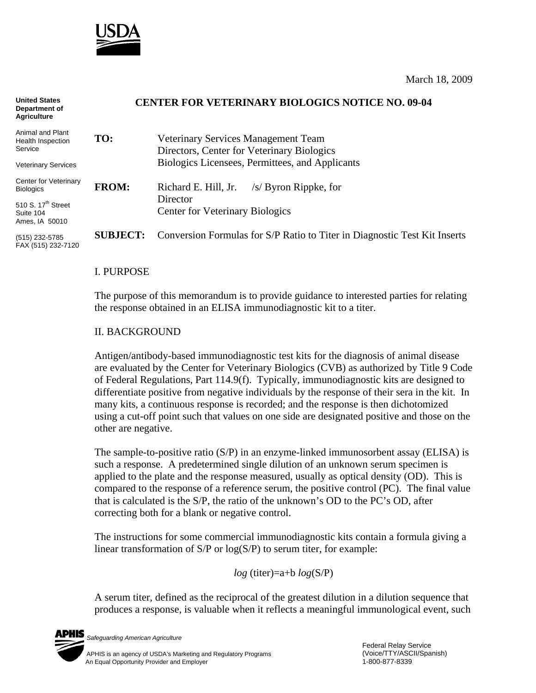

March 18, 2009

#### **CENTER FOR VETERINARY BIOLOGICS NOTICE NO. 09-04 TO:** Veterinary Services Management Team Directors, Center for Veterinary Biologics Biologics Licensees, Permittees, and Applicants **FROM:** Richard E. Hill, Jr. /s/ Byron Rippke, for Director Center for Veterinary Biologics **United States Department of Agriculture** Animal and Plant Health Inspection Service Veterinary Services Center for Veterinary **Biologics** 510 S.  $17<sup>th</sup>$  Street Suite 104

(515) 232-5785 FAX (515) 232-7120

Ames, IA 50010

I. PURPOSE

The purpose of this memorandum is to provide guidance to interested parties for relating the response obtained in an ELISA immunodiagnostic kit to a titer.

**SUBJECT:** Conversion Formulas for S/P Ratio to Titer in Diagnostic Test Kit Inserts

#### II. BACKGROUND

Antigen/antibody-based immunodiagnostic test kits for the diagnosis of animal disease are evaluated by the Center for Veterinary Biologics (CVB) as authorized by Title 9 Code of Federal Regulations, Part 114.9(f). Typically, immunodiagnostic kits are designed to differentiate positive from negative individuals by the response of their sera in the kit. In many kits, a continuous response is recorded; and the response is then dichotomized using a cut-off point such that values on one side are designated positive and those on the other are negative.

The sample-to-positive ratio (S/P) in an enzyme-linked immunosorbent assay (ELISA) is such a response. A predetermined single dilution of an unknown serum specimen is applied to the plate and the response measured, usually as optical density (OD). This is compared to the response of a reference serum, the positive control (PC). The final value that is calculated is the S/P, the ratio of the unknown's OD to the PC's OD, after correcting both for a blank or negative control.

The instructions for some commercial immunodiagnostic kits contain a formula giving a linear transformation of  $S/P$  or  $log(S/P)$  to serum titer, for example:

*log* (titer)=a+b *log*(S/P)

A serum titer, defined as the reciprocal of the greatest dilution in a dilution sequence that produces a response, is valuable when it reflects a meaningful immunological event, such

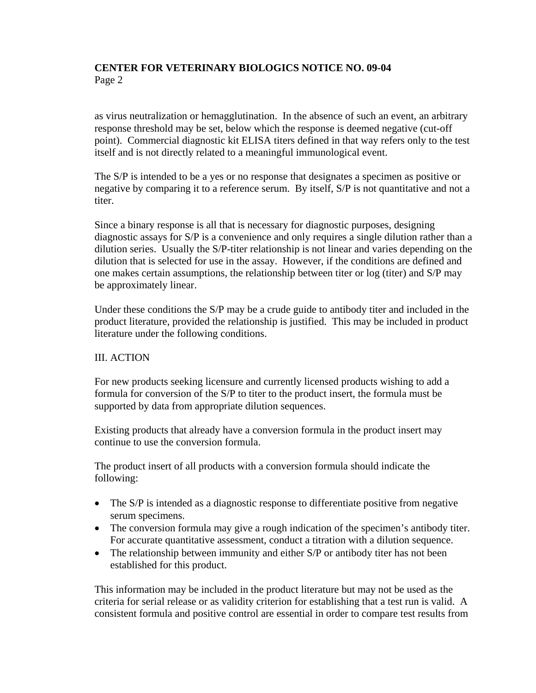# **CENTER FOR VETERINARY BIOLOGICS NOTICE NO. 09-04**  Page 2

as virus neutralization or hemagglutination. In the absence of such an event, an arbitrary response threshold may be set, below which the response is deemed negative (cut-off point). Commercial diagnostic kit ELISA titers defined in that way refers only to the test itself and is not directly related to a meaningful immunological event.

The S/P is intended to be a yes or no response that designates a specimen as positive or negative by comparing it to a reference serum. By itself, S/P is not quantitative and not a titer.

Since a binary response is all that is necessary for diagnostic purposes, designing diagnostic assays for S/P is a convenience and only requires a single dilution rather than a dilution series. Usually the S/P-titer relationship is not linear and varies depending on the dilution that is selected for use in the assay. However, if the conditions are defined and one makes certain assumptions, the relationship between titer or log (titer) and S/P may be approximately linear.

Under these conditions the S/P may be a crude guide to antibody titer and included in the product literature, provided the relationship is justified. This may be included in product literature under the following conditions.

### III. ACTION

For new products seeking licensure and currently licensed products wishing to add a formula for conversion of the S/P to titer to the product insert, the formula must be supported by data from appropriate dilution sequences.

Existing products that already have a conversion formula in the product insert may continue to use the conversion formula.

The product insert of all products with a conversion formula should indicate the following:

- The S/P is intended as a diagnostic response to differentiate positive from negative serum specimens.
- The conversion formula may give a rough indication of the specimen's antibody titer. For accurate quantitative assessment, conduct a titration with a dilution sequence.
- The relationship between immunity and either S/P or antibody titer has not been established for this product.

This information may be included in the product literature but may not be used as the criteria for serial release or as validity criterion for establishing that a test run is valid. A consistent formula and positive control are essential in order to compare test results from